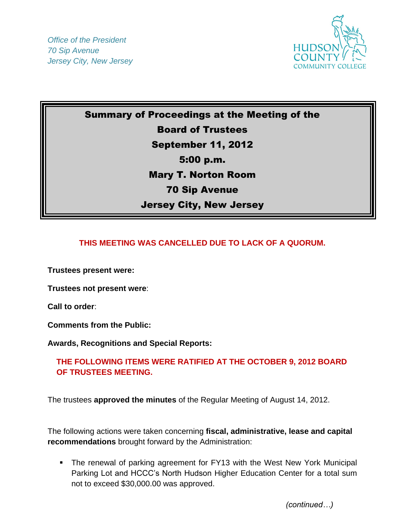*Office of the President 70 Sip Avenue Jersey City, New Jersey*



## Summary of Proceedings at the Meeting of the Board of Trustees September 11, 2012 5:00 p.m. Mary T. Norton Room 70 Sip Avenue Jersey City, New Jersey

## **THIS MEETING WAS CANCELLED DUE TO LACK OF A QUORUM.**

**Trustees present were:** 

**Trustees not present were**:

**Call to order**:

**Comments from the Public:** 

**Awards, Recognitions and Special Reports:**

## **THE FOLLOWING ITEMS WERE RATIFIED AT THE OCTOBER 9, 2012 BOARD OF TRUSTEES MEETING.**

The trustees **approved the minutes** of the Regular Meeting of August 14, 2012.

The following actions were taken concerning **fiscal, administrative, lease and capital recommendations** brought forward by the Administration:

 The renewal of parking agreement for FY13 with the West New York Municipal Parking Lot and HCCC's North Hudson Higher Education Center for a total sum not to exceed \$30,000.00 was approved.

*(continued…)*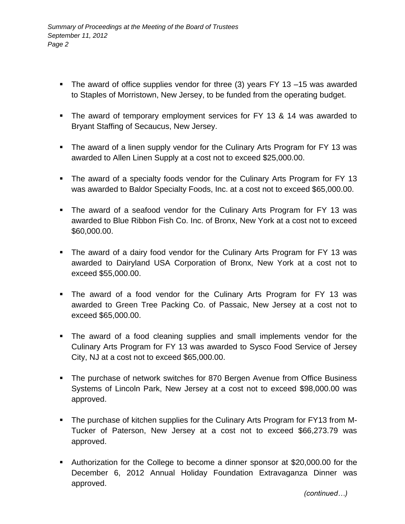- The award of office supplies vendor for three (3) years FY 13 –15 was awarded to Staples of Morristown, New Jersey, to be funded from the operating budget.
- The award of temporary employment services for FY 13 & 14 was awarded to Bryant Staffing of Secaucus, New Jersey.
- The award of a linen supply vendor for the Culinary Arts Program for FY 13 was awarded to Allen Linen Supply at a cost not to exceed \$25,000.00.
- The award of a specialty foods vendor for the Culinary Arts Program for FY 13 was awarded to Baldor Specialty Foods, Inc. at a cost not to exceed \$65,000.00.
- The award of a seafood vendor for the Culinary Arts Program for FY 13 was awarded to Blue Ribbon Fish Co. Inc. of Bronx, New York at a cost not to exceed \$60,000.00.
- The award of a dairy food vendor for the Culinary Arts Program for FY 13 was awarded to Dairyland USA Corporation of Bronx, New York at a cost not to exceed \$55,000.00.
- The award of a food vendor for the Culinary Arts Program for FY 13 was awarded to Green Tree Packing Co. of Passaic, New Jersey at a cost not to exceed \$65,000.00.
- The award of a food cleaning supplies and small implements vendor for the Culinary Arts Program for FY 13 was awarded to Sysco Food Service of Jersey City, NJ at a cost not to exceed \$65,000.00.
- The purchase of network switches for 870 Bergen Avenue from Office Business Systems of Lincoln Park, New Jersey at a cost not to exceed \$98,000.00 was approved.
- The purchase of kitchen supplies for the Culinary Arts Program for FY13 from M-Tucker of Paterson, New Jersey at a cost not to exceed \$66,273.79 was approved.
- Authorization for the College to become a dinner sponsor at \$20,000.00 for the December 6, 2012 Annual Holiday Foundation Extravaganza Dinner was approved.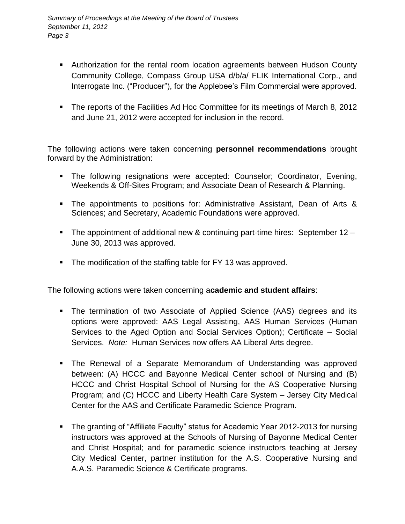- Authorization for the rental room location agreements between Hudson County Community College, Compass Group USA d/b/a/ FLIK International Corp., and Interrogate Inc. ("Producer"), for the Applebee's Film Commercial were approved.
- The reports of the Facilities Ad Hoc Committee for its meetings of March 8, 2012 and June 21, 2012 were accepted for inclusion in the record.

The following actions were taken concerning **personnel recommendations** brought forward by the Administration:

- The following resignations were accepted: Counselor; Coordinator, Evening, Weekends & Off-Sites Program; and Associate Dean of Research & Planning.
- The appointments to positions for: Administrative Assistant, Dean of Arts & Sciences; and Secretary, Academic Foundations were approved.
- The appointment of additional new & continuing part-time hires: September  $12 -$ June 30, 2013 was approved.
- The modification of the staffing table for FY 13 was approved.

The following actions were taken concerning a**cademic and student affairs**:

- The termination of two Associate of Applied Science (AAS) degrees and its options were approved: AAS Legal Assisting, AAS Human Services (Human Services to the Aged Option and Social Services Option); Certificate – Social Services. *Note:* Human Services now offers AA Liberal Arts degree.
- The Renewal of a Separate Memorandum of Understanding was approved between: (A) HCCC and Bayonne Medical Center school of Nursing and (B) HCCC and Christ Hospital School of Nursing for the AS Cooperative Nursing Program; and (C) HCCC and Liberty Health Care System – Jersey City Medical Center for the AAS and Certificate Paramedic Science Program.
- The granting of "Affiliate Faculty" status for Academic Year 2012-2013 for nursing instructors was approved at the Schools of Nursing of Bayonne Medical Center and Christ Hospital; and for paramedic science instructors teaching at Jersey City Medical Center, partner institution for the A.S. Cooperative Nursing and A.A.S. Paramedic Science & Certificate programs.